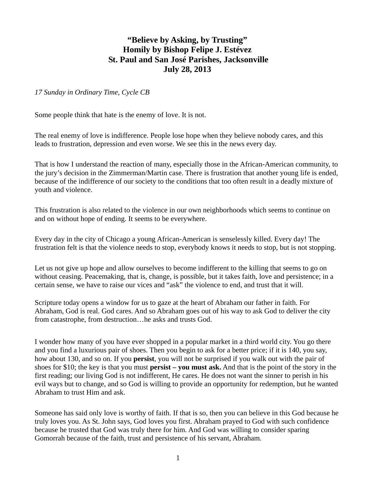## **"Believe by Asking, by Trusting" Homily by Bishop Felipe J. Estévez St. Paul and San José Parishes, Jacksonville July 28, 2013**

*17 Sunday in Ordinary Time, Cycle CB* 

Some people think that hate is the enemy of love. It is not.

The real enemy of love is indifference. People lose hope when they believe nobody cares, and this leads to frustration, depression and even worse. We see this in the news every day.

That is how I understand the reaction of many, especially those in the African-American community, to the jury's decision in the Zimmerman/Martin case. There is frustration that another young life is ended, because of the indifference of our society to the conditions that too often result in a deadly mixture of youth and violence.

This frustration is also related to the violence in our own neighborhoods which seems to continue on and on without hope of ending. It seems to be everywhere.

Every day in the city of Chicago a young African-American is senselessly killed. Every day! The frustration felt is that the violence needs to stop, everybody knows it needs to stop, but is not stopping.

Let us not give up hope and allow ourselves to become indifferent to the killing that seems to go on without ceasing. Peacemaking, that is, change, is possible, but it takes faith, love and persistence; in a certain sense, we have to raise our vices and "ask" the violence to end, and trust that it will.

Scripture today opens a window for us to gaze at the heart of Abraham our father in faith. For Abraham, God is real. God cares. And so Abraham goes out of his way to ask God to deliver the city from catastrophe, from destruction…he asks and trusts God.

I wonder how many of you have ever shopped in a popular market in a third world city. You go there and you find a luxurious pair of shoes. Then you begin to ask for a better price; if it is 140, you say, how about 130, and so on. If you **persist**, you will not be surprised if you walk out with the pair of shoes for \$10; the key is that you must **persist – you must ask.** And that is the point of the story in the first reading; our living God is not indifferent, He cares. He does not want the sinner to perish in his evil ways but to change, and so God is willing to provide an opportunity for redemption, but he wanted Abraham to trust Him and ask.

Someone has said only love is worthy of faith. If that is so, then you can believe in this God because he truly loves you. As St. John says, God loves you first. Abraham prayed to God with such confidence because he trusted that God was truly there for him. And God was willing to consider sparing Gomorrah because of the faith, trust and persistence of his servant, Abraham.